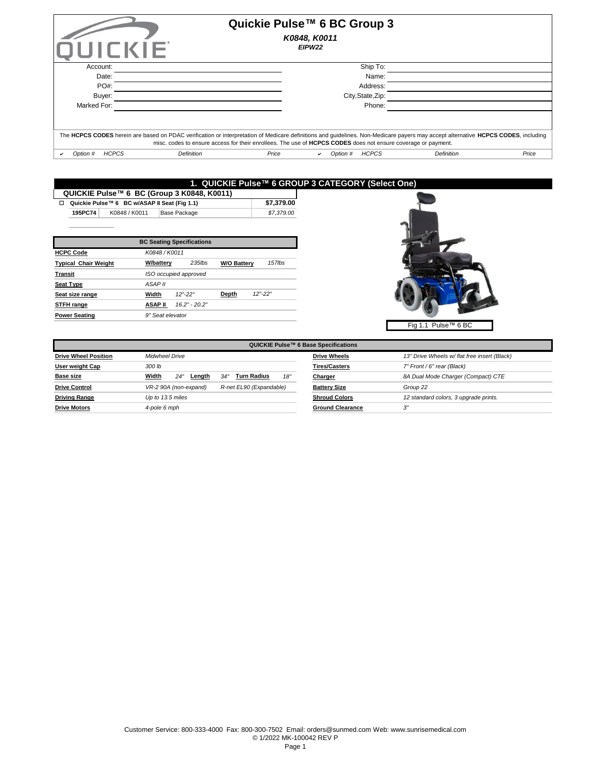| UICKIE                                        | Quickie Pulse™ 6 BC Group 3<br>K0848, K0011<br>EIPW22                                                                                                                                                                                                                                              |            |       |
|-----------------------------------------------|----------------------------------------------------------------------------------------------------------------------------------------------------------------------------------------------------------------------------------------------------------------------------------------------------|------------|-------|
| Account:                                      | Ship To:                                                                                                                                                                                                                                                                                           |            |       |
| Date:                                         | Name:                                                                                                                                                                                                                                                                                              |            |       |
| PO#:                                          | Address:                                                                                                                                                                                                                                                                                           |            |       |
| Buyer:                                        | City, State, Zip:                                                                                                                                                                                                                                                                                  |            |       |
| Marked For:                                   | Phone:                                                                                                                                                                                                                                                                                             |            |       |
|                                               | The HCPCS CODES herein are based on PDAC verification or interpretation of Medicare definitions and guidelines. Non-Medicare payers may accept alternative HCPCS CODES, including<br>misc. codes to ensure access for their enrollees. The use of HCPCS CODES does not ensure coverage or payment. |            |       |
| <b>HCPCS</b><br><b>Definition</b><br>Option # | <b>HCPCS</b><br>Price<br>Option #                                                                                                                                                                                                                                                                  | Definition | Price |

## **1. QUICKIE Pulse™ 6 GROUP 3 CATEGORY (Select One)**

| QUICKIE Pulse™ 6 BC (Group 3 K0848, K0011) |         |                                              |              |            |  |  |  |
|--------------------------------------------|---------|----------------------------------------------|--------------|------------|--|--|--|
|                                            |         | Quickie Pulse™ 6 BC w/ASAP II Seat (Fig 1.1) |              | \$7.379.00 |  |  |  |
|                                            | 195PC74 | K0848 / K0011                                | Base Package | \$7.379.00 |  |  |  |
|                                            |         |                                              |              |            |  |  |  |

|                             |                    | <b>BC Seating Specifications</b> |                    |             |
|-----------------------------|--------------------|----------------------------------|--------------------|-------------|
| <b>HCPC Code</b>            | K0848 / K0011      |                                  |                    |             |
| <b>Typical Chair Weight</b> | <b>W/battery</b>   | $235$ lbs                        | <b>W/O Battery</b> | $157$ lbs   |
| <b>Transit</b>              |                    | ISO occupied approved            |                    |             |
| <b>Seat Type</b>            | ASAP <sub>II</sub> |                                  |                    |             |
| Seat size range             | Width              | $12" - 22"$                      | Depth              | $12" - 22"$ |
| STFH range                  | <b>ASAP II</b>     | $16.2" - 20.2"$                  |                    |             |
| <b>Power Seating</b>        | 9" Seat elevator   |                                  |                    |             |



|                             | QUICKIE Pulse™ 6 Base Specifications                       |                         |                                              |  |  |  |  |  |  |
|-----------------------------|------------------------------------------------------------|-------------------------|----------------------------------------------|--|--|--|--|--|--|
| <b>Drive Wheel Position</b> | <b>Midwheel Drive</b>                                      | <b>Drive Wheels</b>     | 13" Drive Wheels w/ flat free insert (Black) |  |  |  |  |  |  |
| User weight Cap             | 300 lb                                                     | <b>Tires/Casters</b>    | 7" Front / 6" rear (Black)                   |  |  |  |  |  |  |
| <b>Base size</b>            | Width<br><b>Turn Radius</b><br>18'<br>24'<br>34'<br>Length | Charger                 | 8A Dual Mode Charger (Compact) CTE           |  |  |  |  |  |  |
| <b>Drive Control</b>        | VR-2 90A (non-expand)<br>R-net EL90 (Expandable)           | <b>Battery Size</b>     | Group 22                                     |  |  |  |  |  |  |
| <b>Driving Range</b>        | Up to 13.5 miles                                           | <b>Shroud Colors</b>    | 12 standard colors, 3 upgrade prints.        |  |  |  |  |  |  |
| <b>Drive Motors</b>         | 4-pole 6 mph                                               | <b>Ground Clearance</b> | 3"                                           |  |  |  |  |  |  |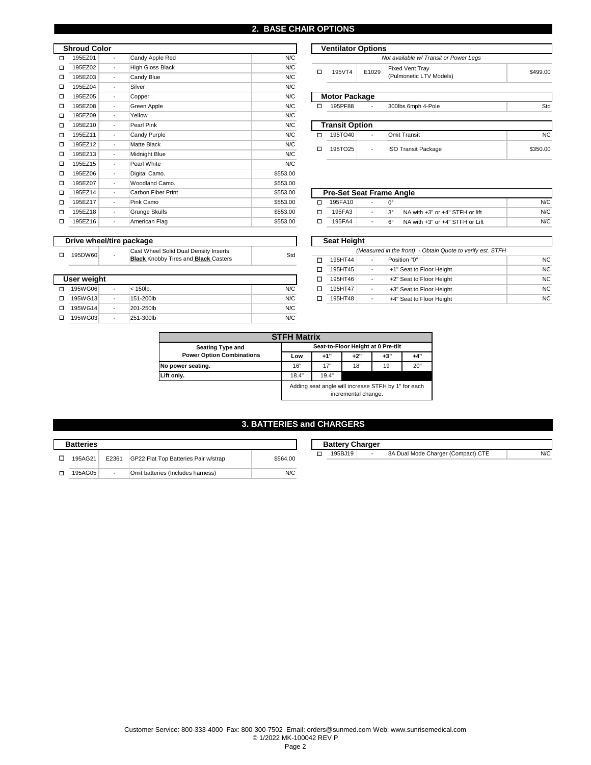| <b>Shroud Color</b> |         |                          |                         |          |   | <b>Ventilator Options</b> |                          |                                                |
|---------------------|---------|--------------------------|-------------------------|----------|---|---------------------------|--------------------------|------------------------------------------------|
| □                   | 195EZ01 | $\blacksquare$           | Candy Apple Red         | N/C      |   |                           |                          | Not available w/ Transit or Power Legs         |
| □                   | 195EZ02 | $\overline{\phantom{a}}$ | <b>High Gloss Black</b> | N/C      | □ | 195VT4                    | E1029                    | <b>Fixed Vent Tray</b>                         |
| □                   | 195EZ03 | $\blacksquare$           | Candy Blue              | N/C      |   |                           |                          | (Pulmonetic LTV Models)                        |
| □                   | 195EZ04 | $\blacksquare$           | Silver                  | N/C      |   |                           |                          |                                                |
| □                   | 195EZ05 | $\overline{\phantom{a}}$ | Copper                  | N/C      |   | <b>Motor Package</b>      |                          |                                                |
| □                   | 195EZ08 | $\blacksquare$           | Green Apple             | N/C      | □ | 195PF88                   | $\overline{\phantom{a}}$ | 300lbs 6mph 4-Pole                             |
| □                   | 195EZ09 | $\blacksquare$           | Yellow                  | N/C      |   |                           |                          |                                                |
| □                   | 195EZ10 | $\overline{\phantom{a}}$ | Pearl Pink              | N/C      |   | <b>Transit Option</b>     |                          |                                                |
| □                   | 195EZ11 | $\overline{\phantom{a}}$ | Candy Purple            | N/C      | Ω | 195TO40                   | ۰                        | <b>Omit Transit</b>                            |
| □                   | 195EZ12 | $\overline{\phantom{a}}$ | <b>Matte Black</b>      | N/C      | □ | 195TO25                   | $\overline{\phantom{a}}$ | <b>ISO Transit Package</b>                     |
| □                   | 195EZ13 | $\overline{\phantom{a}}$ | Midnight Blue           | N/C      |   |                           |                          |                                                |
| □                   | 195EZ15 | $\blacksquare$           | Pearl White             | N/C      |   |                           |                          |                                                |
| □                   | 195EZ06 | $\blacksquare$           | Digital Camo.           | \$553.00 |   |                           |                          |                                                |
| □                   | 195EZ07 | $\overline{\phantom{a}}$ | Woodland Camo.          | \$553.00 |   |                           |                          |                                                |
| □                   | 195EZ14 | $\blacksquare$           | Carbon Fiber Print      | \$553.00 |   |                           |                          | <b>Pre-Set Seat Frame Angle</b>                |
| □                   | 195EZ17 | $\overline{\phantom{a}}$ | Pink Camo               | \$553.00 | □ | 195FA10                   |                          | l0°                                            |
| □                   | 195EZ18 | $\overline{\phantom{a}}$ | <b>Grunge Skulls</b>    | \$553.00 | □ | 195FA3                    | $\overline{\phantom{a}}$ | $3^{\circ}$<br>NA with +3" or +4" STFH or lift |
| □                   | 195EZ16 | $\overline{\phantom{a}}$ | American Flag           | \$553.00 | □ | 195FA4                    | $\overline{\phantom{a}}$ | NA with +3" or +4" STFH or Lift<br>$6^\circ$   |

| <b>Ventilator Options</b>              |       |                                                   |          |  |  |  |  |  |  |
|----------------------------------------|-------|---------------------------------------------------|----------|--|--|--|--|--|--|
| Not available w/ Transit or Power Legs |       |                                                   |          |  |  |  |  |  |  |
| 195VT4                                 | E1029 | <b>Fixed Vent Tray</b><br>(Pulmonetic LTV Models) | \$499.00 |  |  |  |  |  |  |
| <b>Motor Package</b>                   |       |                                                   |          |  |  |  |  |  |  |
|                                        |       |                                                   |          |  |  |  |  |  |  |
| 195PF88                                |       | 300lbs 6mph 4-Pole                                | Std      |  |  |  |  |  |  |
|                                        |       |                                                   |          |  |  |  |  |  |  |
| <b>Transit Option</b>                  |       |                                                   |          |  |  |  |  |  |  |

\$350.00

| <b>Pre-Set Seat Frame Angle</b> |                          |    |                                 |     |  |  |  |  |  |  |
|---------------------------------|--------------------------|----|---------------------------------|-----|--|--|--|--|--|--|
| 195FA10                         |                          | n۰ |                                 | N/C |  |  |  |  |  |  |
| 195FA3                          | $\overline{\phantom{a}}$ | ి  | NA with +3" or +4" STFH or lift | N/C |  |  |  |  |  |  |
| 195FA4                          | $\overline{\phantom{a}}$ | 6° | NA with +3" or +4" STFH or Lift | N/C |  |  |  |  |  |  |

| Drive wheel/tire package |             |  |                                             |     |                                                            | <b>Seat Height</b> |                          |                          |           |
|--------------------------|-------------|--|---------------------------------------------|-----|------------------------------------------------------------|--------------------|--------------------------|--------------------------|-----------|
|                          | 195DW60     |  | Cast Wheel Solid Dual Density Inserts       | Std | (Measured in the front) - Obtain Quote to verify est. STFH |                    |                          |                          |           |
|                          |             |  | <b>Black Knobby Tires and Black Casters</b> |     |                                                            | 195HT44            | $\overline{\phantom{0}}$ | Position "0"             | <b>NC</b> |
|                          |             |  |                                             |     |                                                            | 195HT45            |                          | +1" Seat to Floor Height | <b>NC</b> |
|                          | User weight |  |                                             |     |                                                            | 195HT46            |                          | +2" Seat to Floor Height | <b>NC</b> |
|                          | □ 195WG06   |  | $<$ 150 $lb.$                               | N/C |                                                            | 195HT47            |                          | +3" Seat to Floor Height | <b>NC</b> |
|                          | □ 195WG13   |  | 151-200lb                                   | N/C |                                                            | 195HT48            |                          | +4" Seat to Floor Height | <b>NC</b> |

| <b>STFH Matrix</b>               |                                                                            |       |                                    |       |       |  |  |  |
|----------------------------------|----------------------------------------------------------------------------|-------|------------------------------------|-------|-------|--|--|--|
| <b>Seating Type and</b>          |                                                                            |       | Seat-to-Floor Height at 0 Pre-tilt |       |       |  |  |  |
| <b>Power Option Combinations</b> | Low                                                                        | $+1"$ | $+2"$                              | $+3"$ | $+4"$ |  |  |  |
| No power seating.                | 16"                                                                        | 17"   | 18"                                | 19"   | 20"   |  |  |  |
| Lift only.                       | 18.4"<br>19.4"                                                             |       |                                    |       |       |  |  |  |
|                                  | Adding seat angle will increase STFH by 1" for each<br>incremental change. |       |                                    |       |       |  |  |  |

 $N/C$ 

## **3. BATTERIES and CHARGERS**

| <b>Batteries</b> |                          |                                      |          |
|------------------|--------------------------|--------------------------------------|----------|
| 195AG21          | E2361                    | GP22 Flat Top Batteries Pair w/strap | \$564.00 |
| 195AG05          | $\overline{\phantom{a}}$ | Omit batteries (Includes harness)    | N/C      |

251-300lb N/C

o 195WG14 o 195WG03

 $\Box$  195WG13

195WG06

201-250lb

 **Drive wheel/tire package**

-

-

|  | <b>Battery Charger</b> |                                    |  |
|--|------------------------|------------------------------------|--|
|  | 195BJ19                | 8A Dual Mode Charger (Compact) CTE |  |

#### Customer Service: 800-333-4000 Fax: 800-300-7502 Email: orders@sunmed.com Web: www.sunrisemedical.com © 1/2022 MK-100042 REV Q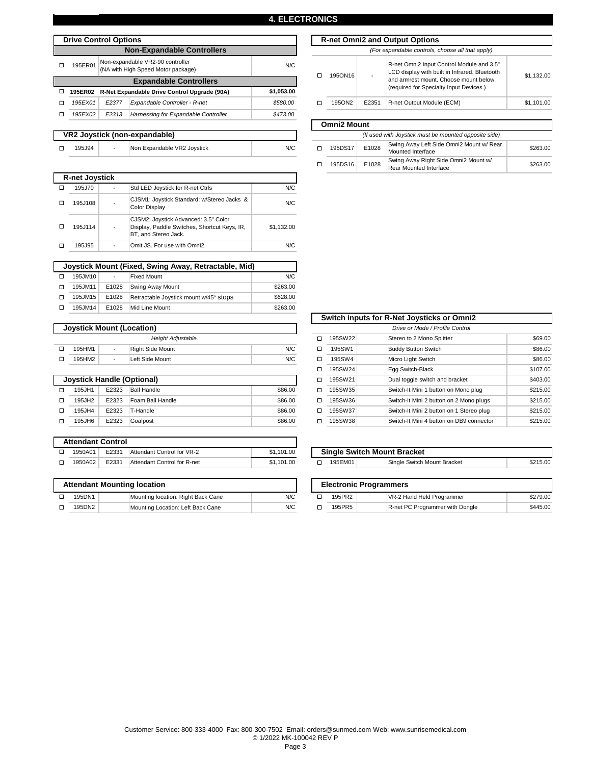## **4. ELECTRONICS**

|   | <b>Drive Control Options</b> |                    | <b>R-net Omni2 and</b>                                                 |            |   |                    |          |
|---|------------------------------|--------------------|------------------------------------------------------------------------|------------|---|--------------------|----------|
|   |                              |                    | <b>Non-Expandable Controllers</b>                                      |            |   |                    | (For     |
| П | 195ER01                      |                    | Non-expandable VR2-90 controller<br>(NA with High Speed Motor package) | N/C        | п | 195ON16            |          |
|   |                              |                    | <b>Expandable Controllers</b>                                          |            |   |                    |          |
| о | 195ER02                      |                    | R-Net Expandable Drive Control Upgrade (90A)                           | \$1,053.00 |   |                    |          |
| п | 195EX01                      | E <sub>2</sub> 377 | Expandable Controller - R-net                                          | \$580.00   | п | 195ON2             | E2351    |
| п | 195EX02                      | E <sub>2</sub> 313 | Harnessing for Expandable Controller                                   | \$473.00   |   |                    |          |
|   |                              |                    |                                                                        |            |   | <b>Omni2 Mount</b> |          |
|   |                              |                    | VR2 Joystick (non-expandable)                                          |            |   |                    | (If used |
| □ | 195J94                       |                    | Non Expandable VR2 Joystick                                            | N/C        | □ | 195DS17            | E1028    |

|                    |       | (For expandable controls, choose all that apply)                                                                                                                                |            |  |  |  |  |  |  |
|--------------------|-------|---------------------------------------------------------------------------------------------------------------------------------------------------------------------------------|------------|--|--|--|--|--|--|
| 1950N16            |       | R-net Omni2 Input Control Module and 3.5"<br>LCD display with built in Infrared, Bluetooth<br>and armrest mount. Choose mount below.<br>(required for Specialty Input Devices.) | \$1.132.00 |  |  |  |  |  |  |
| 1950N2             | E2351 | R-net Output Module (ECM)                                                                                                                                                       | \$1.101.00 |  |  |  |  |  |  |
|                    |       |                                                                                                                                                                                 |            |  |  |  |  |  |  |
| <b>Omni2 Mount</b> |       |                                                                                                                                                                                 |            |  |  |  |  |  |  |

**Drive Control Options R-net Omni2 and Output Options** 

| (If used with Joystick must be mounted opposite side) |       |                                                                |          |  |  |  |  |  |  |  |
|-------------------------------------------------------|-------|----------------------------------------------------------------|----------|--|--|--|--|--|--|--|
| 195DS17                                               | E1028 | Swing Away Left Side Omni2 Mount w/ Rear<br>Mounted Interface  | \$263.00 |  |  |  |  |  |  |  |
| 195DS16                                               | E1028 | Swing Away Right Side Omni2 Mount w/<br>Rear Mounted Interface | \$263.00 |  |  |  |  |  |  |  |

|   | <b>R-net Joystick</b> |                                                                                                              |            |
|---|-----------------------|--------------------------------------------------------------------------------------------------------------|------------|
| п | 195J70                | Std LED Joystick for R-net Ctrls                                                                             | N/C        |
|   | 195J108               | CJSM1: Joystick Standard: w/Stereo Jacks &<br>Color Display                                                  | N/C        |
|   | 195J114               | CJSM2: Joystick Advanced: 3.5" Color<br>Display, Paddle Switches, Shortcut Keys, IR,<br>BT, and Stereo Jack. | \$1.132.00 |
|   | 195J95                | Omit JS. For use with Omni2                                                                                  | N/C        |
|   |                       |                                                                                                              |            |

|   | Joystick Mount (Fixed, Swing Away, Retractable, Mid) |                          |                                        |          |  |  |  |  |  |  |
|---|------------------------------------------------------|--------------------------|----------------------------------------|----------|--|--|--|--|--|--|
|   | 195JM10                                              | $\overline{\phantom{a}}$ | <b>Fixed Mount</b>                     | N/C      |  |  |  |  |  |  |
| п | 195JM11                                              | E1028                    | <b>Swing Away Mount</b>                | \$263.00 |  |  |  |  |  |  |
| п | 195JM15                                              | E1028                    | Retractable Joystick mount w/45° Stops | \$628.00 |  |  |  |  |  |  |
| п | 195JM14                                              | E1028                    | Mid Line Mount                         | \$263.00 |  |  |  |  |  |  |

|                    | <b>Joystick Mount (Location)</b> |        |                  |     |  | Drive or Mode / Profile Control |         |  |                           |  |
|--------------------|----------------------------------|--------|------------------|-----|--|---------------------------------|---------|--|---------------------------|--|
| Height Adiustable. |                                  |        |                  |     |  |                                 | 195SW22 |  | Stereo to 2 Mono Splitter |  |
|                    | 195HM1                           | $\sim$ | Right Side Mount | N/C |  |                                 | 195SW1  |  | Buddy Button Switch       |  |
|                    | 195HM2                           |        | Left Side Mount  | N/C |  |                                 | 195SW4  |  | Micro Light Switch        |  |

| <b>Joystick Handle (Optional)</b> |       | 195SW21            |         |   |         |
|-----------------------------------|-------|--------------------|---------|---|---------|
| 195JH1                            | E2323 | <b>Ball Handle</b> | \$86.00 | □ | 195SW35 |
| 195JH2                            | E2323 | Foam Ball Handle   | \$86.00 |   | 195SW36 |
| 195JH4                            | E2323 | T-Handle           | \$86.00 |   | 195SW37 |
| 195JH6                            | E2323 | Goalpost           | \$86.00 |   | 195SW38 |

| <b>Attendant Control</b> |       |                             |            |  |
|--------------------------|-------|-----------------------------|------------|--|
| 1950A01                  | E2331 | Attendant Control for VR-2  | \$1,101.00 |  |
| 1950A02                  | E2331 | Attendant Control for R-net | \$1,101.00 |  |

| <b>Attendant Mounting location</b> |        |                                    |     |  |  |  |
|------------------------------------|--------|------------------------------------|-----|--|--|--|
|                                    | 195DN1 | Mounting location: Right Back Cane | N/C |  |  |  |
|                                    | 195DN2 | Mounting Location: Left Back Cane  | N/C |  |  |  |

| /stick Mount (Location)<br>Drive or Mode / Profile Control |                    |                         |   |         |                                          |                                            |
|------------------------------------------------------------|--------------------|-------------------------|---|---------|------------------------------------------|--------------------------------------------|
|                                                            | Height Adjustable. |                         | п | 195SW22 | Stereo to 2 Mono Splitter                | \$69.00                                    |
| $\blacksquare$                                             | Right Side Mount   | N/C                     | □ | 195SW1  | <b>Buddy Button Switch</b>               | \$86.00                                    |
| $\sim$                                                     | Left Side Mount    | N/C                     | □ | 195SW4  | Micro Light Switch                       | \$86.00                                    |
|                                                            |                    |                         | о | 195SW24 | Egg Switch-Black                         | \$107.00                                   |
|                                                            |                    |                         | о | 195SW21 | Dual toggle switch and bracket           | \$403.00                                   |
| E2323                                                      | <b>Ball Handle</b> | \$86.00                 | □ | 195SW35 | Switch-It Mini 1 button on Mono plug     | \$215.00                                   |
| E2323                                                      | Foam Ball Handle   | \$86.00                 | □ | 195SW36 | Switch-It Mini 2 button on 2 Mono plugs  | \$215.00                                   |
| E2323                                                      | T-Handle           | \$86.00                 | □ | 195SW37 | Switch-It Mini 2 button on 1 Stereo plug | \$215.00                                   |
| E2323                                                      | Goalpost           | \$86.00                 | □ | 195SW38 | Switch-It Mini 4 button on DB9 connector | \$215.00                                   |
|                                                            |                    | stick Handle (Optional) |   |         |                                          | Switch inputs for R-Net Joysticks or Omni2 |

| \$1,101.00 | <b>Single Switch Mount Bracket</b> |         |                               |          |  |  |  |  |  |  |
|------------|------------------------------------|---------|-------------------------------|----------|--|--|--|--|--|--|
| \$1.101.00 |                                    | 195EM01 | Single Switch Mount Bracket   | \$215.00 |  |  |  |  |  |  |
|            |                                    |         |                               |          |  |  |  |  |  |  |
|            |                                    |         | <b>Electronic Programmers</b> |          |  |  |  |  |  |  |
|            |                                    |         |                               |          |  |  |  |  |  |  |

R-net PC Programmer with Dongle

\$445.00

| Customer Service: 800-333-4000 Fax: 800-300-7502 Email: orders@sunmed.com Web: www.sunrisemedical.com |                          |  |
|-------------------------------------------------------------------------------------------------------|--------------------------|--|
|                                                                                                       | © 1/2022 MK-100042 REV Q |  |

 $\overline{195PR5}$ 

Page 3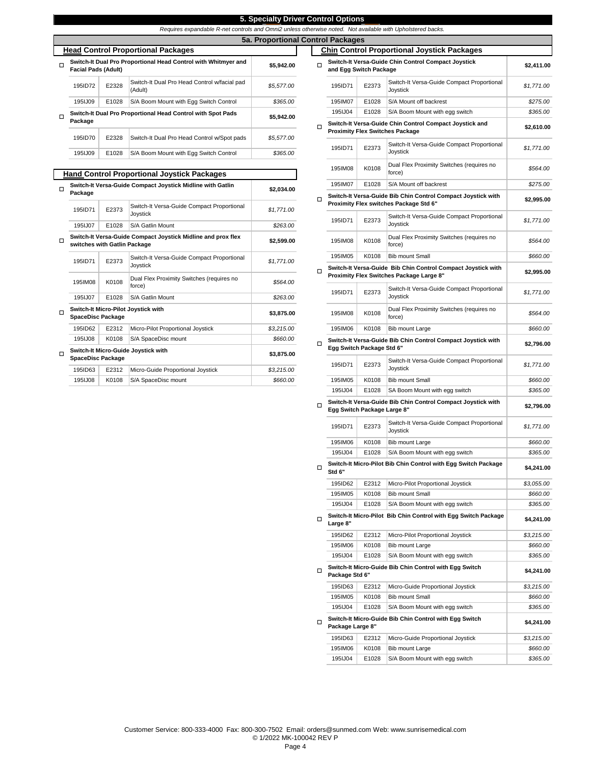|        |                                                                                              |                |                                                                                                            | 5. Specialty Driver Control Options |         |                                                                                       |                                  |                                           |  |
|--------|----------------------------------------------------------------------------------------------|----------------|------------------------------------------------------------------------------------------------------------|-------------------------------------|---------|---------------------------------------------------------------------------------------|----------------------------------|-------------------------------------------|--|
|        |                                                                                              |                | Requires expandable R-net controls and Omni2 unless otherwise noted. Not available with Upholstered backs. |                                     |         |                                                                                       |                                  |                                           |  |
|        |                                                                                              |                |                                                                                                            | 5a. Proportional Control Packages   |         |                                                                                       |                                  |                                           |  |
|        |                                                                                              |                | <b>Head Control Proportional Packages</b>                                                                  |                                     |         |                                                                                       |                                  | <b>Chin Control Proportional Joystick</b> |  |
| $\Box$ | <b>Facial Pads (Adult)</b>                                                                   |                | Switch-It Dual Pro Proportional Head Control with Whitmyer and                                             | \$5.942.00                          | $\Box$  | and Egg Switch Package                                                                |                                  | Switch-It Versa-Guide Chin Control Compa  |  |
|        | 195ID72                                                                                      | E2328          | Switch-It Dual Pro Head Control w/facial pad<br>(Adult)                                                    | \$5,577.00                          |         | 195ID71                                                                               | E2373                            | Switch-It Versa-Guide<br>Joystick         |  |
|        | 195IJ09                                                                                      | E1028          | S/A Boom Mount with Egg Switch Control                                                                     | \$365.00                            |         | 195IM07                                                                               | E1028                            | S/A Mount off backres                     |  |
| $\Box$ |                                                                                              |                | Switch-It Dual Pro Proportional Head Control with Spot Pads                                                |                                     |         | 195IJ04                                                                               | E1028                            | S/A Boom Mount with                       |  |
|        | \$5,942.00<br>Package                                                                        |                |                                                                                                            |                                     | п       | Switch-It Versa-Guide Chin Control Compa<br><b>Proximity Flex Switches Package</b>    |                                  |                                           |  |
|        | 195ID70<br>195IJ09                                                                           | E2328<br>E1028 | Switch-It Dual Pro Head Control w/Spot pads<br>S/A Boom Mount with Egg Switch Control                      | \$5,577.00<br>\$365.00              |         | 195ID71                                                                               | E2373                            | Switch-It Versa-Guide<br>Joystick         |  |
|        |                                                                                              |                | <b>Hand Control Proportional Joystick Packages</b>                                                         |                                     |         | 195IM08                                                                               | K0108                            | Dual Flex Proximity Sy<br>force)          |  |
|        |                                                                                              |                | Switch-It Versa-Guide Compact Joystick Midline with Gatlin                                                 |                                     |         | 195IM07                                                                               | E1028                            | S/A Mount off backres                     |  |
| о      | Package                                                                                      |                |                                                                                                            | \$2,034.00                          |         | Switch-It Versa-Guide Bib Chin Control Co                                             |                                  |                                           |  |
|        | 195ID71                                                                                      | E2373          | Switch-It Versa-Guide Compact Proportional<br>Joystick                                                     | \$1,771.00                          | о       | Proximity Flex switches Package Std 6"                                                |                                  |                                           |  |
|        | 195IJ07                                                                                      | E1028          | S/A Gatlin Mount                                                                                           | \$263.00                            |         | 195ID71                                                                               | E2373                            | Switch-It Versa-Guide<br>Joystick         |  |
| $\Box$ | Switch-It Versa-Guide Compact Joystick Midline and prox flex<br>switches with Gatlin Package |                | \$2,599.00                                                                                                 |                                     | 195IM08 | K0108                                                                                 | Dual Flex Proximity Sy<br>force) |                                           |  |
|        | 195ID71                                                                                      | E2373          | Switch-It Versa-Guide Compact Proportional                                                                 |                                     |         | 195IM05                                                                               | K0108                            | <b>Bib mount Small</b>                    |  |
|        |                                                                                              |                | Joystick                                                                                                   | \$1,771.00                          | □       | Switch-It Versa-Guide Bib Chin Control Co<br>Proximity Flex Switches Package Large 8" |                                  |                                           |  |
|        | 195IM08                                                                                      | K0108          | Dual Flex Proximity Switches (requires no<br>force)                                                        | \$564.00                            |         |                                                                                       |                                  | Switch-It Versa-Guide                     |  |

o **Switch-It Micro-Pilot Joystick with SpaceDisc Package \$3,875.00**

195ID62 | E2312 | Micro-Pilot Proportional Joystick

E1028 S/A Gatlin Mount

195IJ08 K0108 S/A SpaceDisc mount

**Switch-It Micro-Guide Joystick with SpaceDisc Package \$3,875.00**

195IJ08 K0108 S/A SpaceDisc mount *\$660.00*

195ID63 E2312 Micro-Guide Proportional Joystick *\$3,215.00*

195IJ07

o

| portional Head Control with Whitmyer and                 | \$5,942.00               | □ | and Egg Switch Package      |                | Switch-It Versa-Guide Chin Control Compact Joystick                                                      | \$2,411.00             |
|----------------------------------------------------------|--------------------------|---|-----------------------------|----------------|----------------------------------------------------------------------------------------------------------|------------------------|
| Switch-It Dual Pro Head Control w/facial pad<br>(Adult)  | \$5,577.00               |   | 195ID71                     | E2373          | Switch-It Versa-Guide Compact Proportional<br>Joystick                                                   | \$1,771.00             |
| S/A Boom Mount with Egg Switch Control                   | \$365.00                 |   | 195IM07                     | E1028          | S/A Mount off backrest                                                                                   | \$275.00               |
| portional Head Control with Spot Pads                    | \$5,942.00               |   | 195IJ04                     | E1028          | S/A Boom Mount with egg switch                                                                           | \$365.00               |
| Switch-It Dual Pro Head Control w/Spot pads              | \$5,577.00               | □ |                             |                | Switch-It Versa-Guide Chin Control Compact Joystick and<br><b>Proximity Flex Switches Package</b>        | \$2,610.00             |
| S/A Boom Mount with Egg Switch Control                   | \$365.00                 |   | 195ID71                     | E2373          | Switch-It Versa-Guide Compact Proportional<br>Joystick                                                   | \$1,771.00             |
|                                                          |                          |   | 195IM08                     | K0108          | Dual Flex Proximity Switches (requires no                                                                | \$564.00               |
| ortional Joystick Packages                               |                          |   |                             |                | force)                                                                                                   |                        |
| <b>Compact Joystick Midline with Gatlin</b>              | \$2,034.00               |   | 195IM07                     | E1028          | S/A Mount off backrest<br>Switch-It Versa-Guide Bib Chin Control Compact Joystick with                   | \$275.00               |
| Switch-It Versa-Guide Compact Proportional<br>Joystick   | \$1,771.00               | □ |                             |                | Proximity Flex switches Package Std 6"                                                                   | \$2,995.00             |
| S/A Gatlin Mount                                         | \$263.00                 |   | 195ID71                     | E2373          | Switch-It Versa-Guide Compact Proportional<br>Joystick                                                   | \$1,771.00             |
| <b>Compact Joystick Midline and prox flex</b><br>'ackage | \$2,599.00               |   | 195IM08                     | K0108          | Dual Flex Proximity Switches (requires no<br>force)                                                      | \$564.00               |
| Switch-It Versa-Guide Compact Proportional               |                          |   | 195IM05                     | K0108          | <b>Bib mount Small</b>                                                                                   | \$660.00               |
| Joystick<br>Dual Flex Proximity Switches (requires no    | \$1,771.00               | □ |                             |                | Switch-It Versa-Guide Bib Chin Control Compact Joystick with<br>Proximity Flex Switches Package Large 8" | \$2,995.00             |
| force)                                                   | \$564.00                 |   |                             |                | Switch-It Versa-Guide Compact Proportional                                                               |                        |
| S/A Gatlin Mount                                         | \$263.00                 |   | 195ID71                     | E2373          | Joystick                                                                                                 | \$1,771.00             |
| oystick with                                             | \$3,875.00               |   | 195IM08                     | K0108          | Dual Flex Proximity Switches (requires no<br>force)                                                      | \$564.00               |
| Micro-Pilot Proportional Joystick                        | \$3,215.00               |   | 195IM06                     | K0108          | Bib mount Large                                                                                          | \$660.00               |
| S/A SpaceDisc mount<br>Joystick with                     | \$660.00                 | □ | Egg Switch Package Std 6"   |                | Switch-It Versa-Guide Bib Chin Control Compact Joystick with                                             | \$2,796.00             |
| Micro-Guide Proportional Joystick                        | \$3,875.00<br>\$3,215.00 |   | 195ID71                     | E2373          | Switch-It Versa-Guide Compact Proportional<br>Joystick                                                   | \$1,771.00             |
| S/A SpaceDisc mount                                      | \$660.00                 |   | 195IM05                     | K0108          | <b>Bib mount Small</b>                                                                                   | \$660.00               |
|                                                          |                          |   | 195IJ04                     | E1028          | SA Boom Mount with egg switch                                                                            | \$365.00               |
|                                                          |                          | □ | Egg Switch Package Large 8" |                | Switch-It Versa-Guide Bib Chin Control Compact Joystick with                                             | \$2,796.00             |
|                                                          |                          |   | 195ID71                     | E2373          | Switch-It Versa-Guide Compact Proportional<br>Joystick                                                   | \$1,771.00             |
|                                                          |                          |   | 195IM06                     | K0108          | Bib mount Large                                                                                          | \$660.00               |
|                                                          |                          |   | 195IJ04                     | E1028          | S/A Boom Mount with egg switch                                                                           | \$365.00               |
|                                                          |                          | □ | Std 6"                      |                | Switch-It Micro-Pilot Bib Chin Control with Egg Switch Package                                           | \$4,241.00             |
|                                                          |                          |   | 195ID62                     | E2312          | Micro-Pilot Proportional Joystick                                                                        | \$3,055.00             |
|                                                          |                          |   | 195IM05                     | K0108          | <b>Bib mount Small</b>                                                                                   | \$660.00               |
|                                                          |                          |   | 195IJ04                     | E1028          | S/A Boom Mount with egg switch                                                                           | \$365.00               |
|                                                          |                          | □ | Large 8"                    |                | Switch-It Micro-Pilot Bib Chin Control with Egg Switch Package                                           | \$4,241.00             |
|                                                          |                          |   | 195ID62                     | E2312          | Micro-Pilot Proportional Joystick                                                                        | \$3,215.00             |
|                                                          |                          |   | 195IM06                     | K0108          | Bib mount Large                                                                                          | \$660.00               |
|                                                          |                          | Ω | 195IJ04                     | E1028          | S/A Boom Mount with egg switch<br>Switch-It Micro-Guide Bib Chin Control with Egg Switch                 | \$365.00<br>\$4,241.00 |
|                                                          |                          |   | Package Std 6"              |                |                                                                                                          |                        |
|                                                          |                          |   | 195ID63<br>195IM05          | E2312<br>K0108 | Micro-Guide Proportional Joystick<br><b>Bib mount Small</b>                                              | \$3,215.00<br>\$660.00 |
|                                                          |                          |   | 195IJ04                     | E1028          | S/A Boom Mount with egg switch                                                                           | \$365.00               |
|                                                          |                          | □ | Package Large 8"            |                | Switch-It Micro-Guide Bib Chin Control with Egg Switch                                                   | \$4,241.00             |
|                                                          |                          |   | 195ID63                     | E2312          | Micro-Guide Proportional Joystick                                                                        | \$3,215.00             |
|                                                          |                          |   | 195IM06                     | K0108          | Bib mount Large                                                                                          | \$660.00               |
|                                                          |                          |   | 195IJ04                     | E1028          | S/A Boom Mount with egg switch                                                                           | \$365.00               |
|                                                          |                          |   |                             |                |                                                                                                          |                        |

**Chin Control Proportional Joystick Packages** 

**Control Options**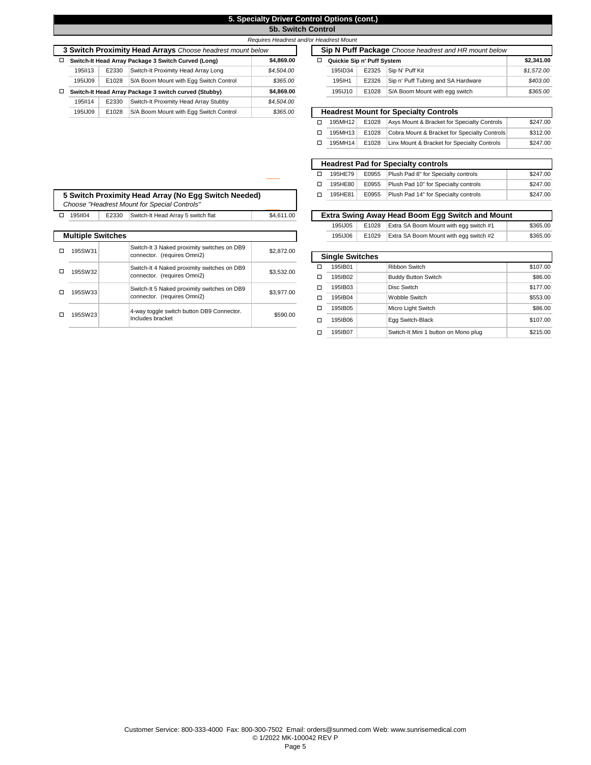## **5. Specialty Driver Control Options (cont.)**

o 195HE80 o 195HE81

**5b. Switch Control** 

|   |                                                            |                                                                   |                                                       | Requires Headrest and/or Headrest Mount |                            |                              |       |         |
|---|------------------------------------------------------------|-------------------------------------------------------------------|-------------------------------------------------------|-----------------------------------------|----------------------------|------------------------------|-------|---------|
|   | 3 Switch Proximity Head Arrays Choose headrest mount below |                                                                   |                                                       | Sip N Puff Package Ch                   |                            |                              |       |         |
| □ |                                                            | \$4,869,00<br>Switch-It Head Array Package 3 Switch Curved (Long) |                                                       | □                                       | Quickie Sip n' Puff System |                              |       |         |
|   | 1951113                                                    | E2330                                                             | Switch-It Proximity Head Array Long                   | \$4,504.00                              |                            | 195ID34                      | E2325 | Sip N   |
|   | 1951.J09                                                   | E1028                                                             | S/A Boom Mount with Egg Switch Control                | \$365.00                                |                            | 195 IH1                      | E2326 | Sip r   |
| □ |                                                            |                                                                   | Switch-It Head Array Package 3 switch curved (Stubby) | \$4,869,00                              |                            | 195IJ10                      | E1028 | $S/A$ E |
|   | 1951114                                                    | E2330                                                             | Switch-It Proximity Head Array Stubby                 | \$4,504.00                              |                            |                              |       |         |
|   | 1951.J09                                                   | E1028                                                             | S/A Boom Mount with Egg Switch Control                | \$365.00                                |                            | <b>Headrest Mount for Sp</b> |       |         |

|       |                                                        | Requires Headrest and/or Headrest Mount |   |                            |       |                                                       |            |
|-------|--------------------------------------------------------|-----------------------------------------|---|----------------------------|-------|-------------------------------------------------------|------------|
|       | <b>Eximity Head Arrays</b> Choose headrest mount below |                                         |   |                            |       | Sip N Puff Package Choose headrest and HR mount below |            |
|       | d Array Package 3 Switch Curved (Long)                 | \$4,869.00                              | ◻ | Quickie Sip n' Puff System |       |                                                       | \$2,341.00 |
| E2330 | Switch-It Proximity Head Array Long                    | \$4,504.00                              |   | 195ID34                    | E2325 | Sip N' Puff Kit                                       | \$1,572.00 |
| E1028 | S/A Boom Mount with Egg Switch Control                 | \$365.00                                |   | 195 H1                     | E2326 | Sip n' Puff Tubing and SA Hardware                    | \$403.00   |
|       | d Array Package 3 switch curved (Stubby)               | \$4,869.00                              |   | 195IJ10                    | E1028 | S/A Boom Mount with egg switch                        | \$365.00   |
| E2330 | Switch-It Proximity Head Array Stubby                  | \$4,504.00                              |   |                            |       |                                                       |            |
| E1028 | S/A Boom Mount with Egg Switch Control                 | \$365.00                                |   |                            |       | <b>Headrest Mount for Specialty Controls</b>          |            |
|       |                                                        |                                         | □ | 195MH12                    | E1028 | Axys Mount & Bracket for Specialty Controls           | \$247.00   |
|       |                                                        |                                         | □ | 195MH13                    | E1028 | Cobra Mount & Bracket for Specialty Controls          | \$312.00   |
|       |                                                        |                                         | □ | 195MH14                    | E1028 | Linx Mount & Bracket for Specialty Controls           | \$247.00   |
|       |                                                        |                                         |   |                            |       |                                                       |            |
|       |                                                        |                                         |   |                            |       | <b>Headrest Pad for Specialty controls</b>            |            |
|       |                                                        |                                         | □ | 195HE79                    | E0955 | Plush Pad 8" for Specialty controls                   | \$247.00   |

|   | 5 Switch Proximity Head Array (No Egg Switch Needed)<br>Choose "Headrest Mount for Special Controls" |            |                                                                            |            |  |  |  |  |
|---|------------------------------------------------------------------------------------------------------|------------|----------------------------------------------------------------------------|------------|--|--|--|--|
| □ | 1951104                                                                                              | \$4,611.00 |                                                                            |            |  |  |  |  |
|   |                                                                                                      |            |                                                                            |            |  |  |  |  |
|   | <b>Multiple Switches</b>                                                                             |            |                                                                            |            |  |  |  |  |
|   | 195SW31                                                                                              |            | Switch-It 3 Naked proximity switches on DB9<br>connector. (requires Omni2) | \$2,872.00 |  |  |  |  |
| п | 195SW32                                                                                              |            | Switch-It 4 Naked proximity switches on DB9<br>connector. (requires Omni2) | \$3,532.00 |  |  |  |  |
| п | 195SW33                                                                                              |            | Switch-It 5 Naked proximity switches on DB9<br>connector. (requires Omni2) | \$3,977.00 |  |  |  |  |
| п | 195SW23                                                                                              |            | 4-way toggle switch button DB9 Connector.<br>Includes bracket              | \$590.00   |  |  |  |  |

| Switch-It Head Arrav 5 switch flat          | \$4,611,00 | Extra Swing Away Head Boom Egg Switch and Mount |       |                                        |          |
|---------------------------------------------|------------|-------------------------------------------------|-------|----------------------------------------|----------|
|                                             |            | 195IJ05                                         | E1028 | Extra SA Boom Mount with egg switch #1 | \$365.00 |
|                                             |            | 195IJ06                                         | E1029 | Extra SA Boom Mount with egg switch #2 | \$365.00 |
| Switch-It 3 Naked proximity switches on DR9 |            |                                                 |       |                                        |          |

E0955 Plush Pad 10" for Specialty controls

E0955 Plush Pad 14" for Specialty controls

\$247.00

\$247.00

|   | <b>Single Switches</b> |                                      |          |
|---|------------------------|--------------------------------------|----------|
| п | 195IB01                | <b>Ribbon Switch</b>                 | \$107.00 |
| п | 195IB02                | <b>Buddy Button Switch</b>           | \$86.00  |
| п | 195IB03                | Disc Switch                          | \$177.00 |
| □ | 195IB04                | Wobble Switch                        | \$553.00 |
| п | 195IB05                | Micro Light Switch                   | \$86.00  |
| п | 195IB06                | Egg Switch-Black                     | \$107.00 |
|   | 195IB07                | Switch-It Mini 1 button on Mono plug | \$215.00 |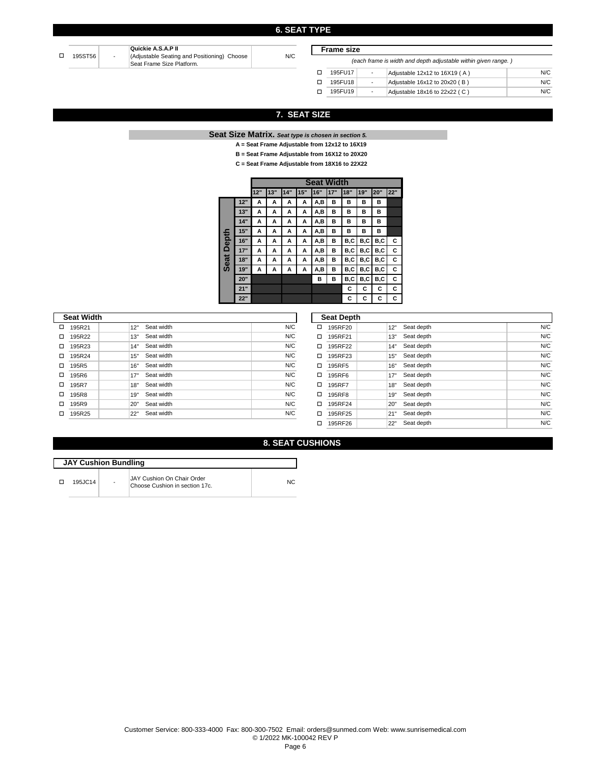### **6. SEAT TYPE**

N/C

|         |                          | Quickie A.S.A.P II                          |  |
|---------|--------------------------|---------------------------------------------|--|
| 195ST56 | $\overline{\phantom{a}}$ | (Adjustable Seating and Positioning) Choose |  |
|         |                          | Seat Frame Size Platform.                   |  |

**Frame size**

|   | (each frame is width and depth adjustable within given range.) |                          |                               |     |  |  |  |
|---|----------------------------------------------------------------|--------------------------|-------------------------------|-----|--|--|--|
| п | 195FU17                                                        | $\overline{\phantom{a}}$ | Adjustable 12x12 to 16X19 (A) | N/C |  |  |  |
| п | 195FU18                                                        | $\overline{\phantom{a}}$ | Adjustable 16x12 to 20x20 (B) | N/C |  |  |  |
| п | 195FU19                                                        | $\overline{\phantom{a}}$ | Adjustable 18x16 to 22x22 (C) | N/C |  |  |  |

## **7. SEAT SIZE**

**Seat Size Matrix.** *Seat type is chosen in section 5.* 

- **A = Seat Frame Adjustable from 12x12 to 16X19**
- **B = Seat Frame Adjustable from 16X12 to 20X20**
- **C = Seat Frame Adjustable from 18X16 to 22X22**

|       |     |     | <b>Seat Width</b> |     |     |      |     |     |     |     |     |
|-------|-----|-----|-------------------|-----|-----|------|-----|-----|-----|-----|-----|
|       |     | 12" | 13"               | 14" | 15" | 16"  | 17" | 18" | 19" | 20" | 22" |
|       | 12" | А   | А                 | А   | A   | A,B  | в   | в   | в   | в   |     |
|       | 13" | А   | А                 | А   | А   | A,B  | в   | в   | в   | в   |     |
|       | 14" | А   | А                 | А   | A   | A,B  | в   | в   | в   | в   |     |
|       | 15" | А   | А                 | А   | A   | A,B  | B   | в   | в   | B   |     |
| Depth | 16" | А   | А                 | А   | А   | A,B  | в   | B,C | B,C | B,C | C   |
|       | 17" | А   | А                 | А   | А   | A,B  | B   | B,C | B,C | B,C | C   |
| Seat  | 18" | А   | А                 | А   | А   | A, B | в   | B,C | B,C | B,C | C   |
|       | 19" | А   | А                 | А   | A   | A,B  | в   | B,C | B,C | B,C | C   |
|       | 20" |     |                   |     |     | в    | B   | B,C | B,C | B,C | C   |
|       | 21" |     |                   |     |     |      |     | С   | C   | C   | С   |
|       | 22" |     |                   |     |     |      |     | C   | c   | С   | С   |

|   | <b>Seat Width</b> |     |            |     |   | <b>Seat Depth</b> |     |            |     |
|---|-------------------|-----|------------|-----|---|-------------------|-----|------------|-----|
| □ | 195R21            | 12" | Seat width | N/C | □ | 195RF20           | 12" | Seat depth | N/C |
| □ | 195R22            | 13" | Seat width | N/C |   | 195RF21           | 13" | Seat depth | N/C |
| □ | 195R23            | 14" | Seat width | N/C |   | 195RF22           | 14" | Seat depth | N/C |
| □ | 195R24            | 15" | Seat width | N/C |   | 195RF23           | 15" | Seat depth | N/C |
| □ | 195R5             | 16" | Seat width | N/C |   | 195RF5            | 16" | Seat depth | N/C |
| □ | 195R6             | 17" | Seat width | N/C |   | 195RF6            | 17" | Seat depth | N/C |
| □ | 195R7             | 18" | Seat width | N/C |   | 195RF7            | 18" | Seat depth | N/C |
| □ | 195R8             | 19" | Seat width | N/C |   | 195RF8            | 19" | Seat depth | N/C |
| □ | 195R9             | 20" | Seat width | N/C |   | 195RF24           | 20" | Seat depth | N/C |
| □ | 195R25            | 22" | Seat width | N/C | □ | 195RF25           | 21" | Seat depth | N/C |
|   |                   |     |            |     |   | 195RF26           | 22" | Seat depth | N/C |

| N/C |   | 195RF25 |         |
|-----|---|---------|---------|
|     | п | 195RF26 | ייכ״כי⊪ |

## **8. SEAT CUSHIONS**

| <b>JAY Cushion Bundling</b> |                |                                                              |     |  |  |  |
|-----------------------------|----------------|--------------------------------------------------------------|-----|--|--|--|
| 195JC14                     | $\overline{a}$ | JAY Cushion On Chair Order<br>Choose Cushion in section 17c. | NC. |  |  |  |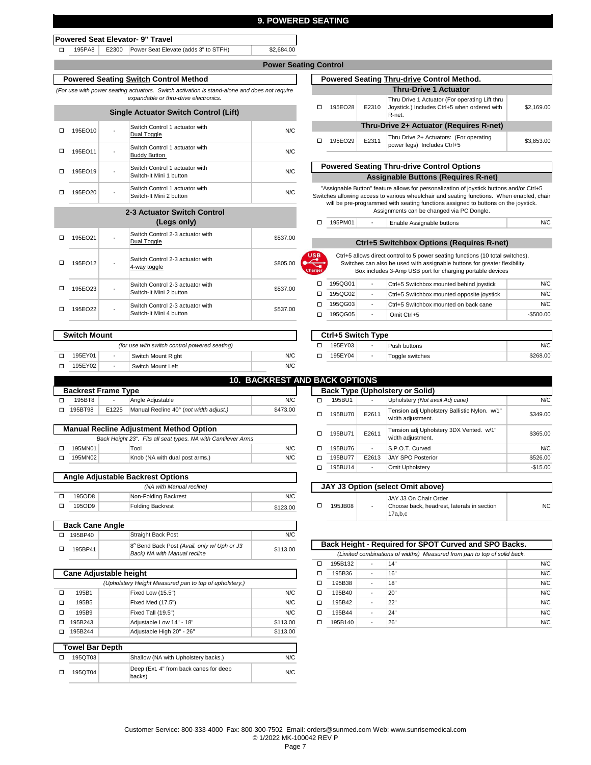### **9. POWERED SEATING**

#### **Powered Seat Elevator- 9" Travel**

o 195PA8 | E2300 Power Seat Elevate (adds 3" to STFH) \$2,684.00

## **Power Seating Control**

## **Powered Seating Switch Control Method**

*(For use with power seating actuators. Switch activation is stand-alone and does not require expandable or thru-drive electronics.* 

|   | <b>Single Actuator Switch Control (Lift)</b> |   |                                                           |     |  |  |  |  |
|---|----------------------------------------------|---|-----------------------------------------------------------|-----|--|--|--|--|
| п | 195EO10                                      | - | Switch Control 1 actuator with<br>Dual Toggle             | N/C |  |  |  |  |
| п | 195EO11                                      |   | Switch Control 1 actuator with<br><b>Buddy Button</b>     | N/C |  |  |  |  |
|   | 195EO19                                      |   | Switch Control 1 actuator with<br>Switch-It Mini 1 button | N/C |  |  |  |  |
|   | 195EO20                                      |   | Switch Control 1 actuator with<br>Switch-It Mini 2 button | N/C |  |  |  |  |
|   |                                              |   |                                                           |     |  |  |  |  |

## **2-3 Actuator Switch Control (Legs only)**

| 195EO21 | Switch Control 2-3 actuator with<br>Dual Toggle             | \$537.00 |
|---------|-------------------------------------------------------------|----------|
| 195EO12 | Switch Control 2-3 actuator with<br>4-way toggle            | \$805.00 |
| 195EO23 | Switch Control 2-3 actuator with<br>Switch-It Mini 2 button | \$537.00 |
| 195EO22 | Switch Control 2-3 actuator with<br>Switch-It Mini 4 button | \$537.00 |

| <b>Switch Mount</b> |  |                                               |     |  |         | Ctrl+5 Switch Type |                 |
|---------------------|--|-----------------------------------------------|-----|--|---------|--------------------|-----------------|
|                     |  | (for use with switch control powered seating) |     |  | 195EY03 | -                  | Push buttons    |
| 195EY01             |  | Switch Mount Right                            | N/C |  | 195EY04 | -                  | Toggle switches |
| 195EY02             |  | Switch Mount Left                             | N/C |  |         |                    |                 |

|                                                               |                                          |       |                                                | <b>10. BACKREST AND BACK OPTIONS</b> |   |                       |      |
|---------------------------------------------------------------|------------------------------------------|-------|------------------------------------------------|--------------------------------------|---|-----------------------|------|
|                                                               | <b>Backrest Frame Type</b>               |       |                                                |                                      |   | <b>Back Type (Uph</b> |      |
| □                                                             | 195BT8                                   |       | Angle Adjustable                               | N/C                                  | □ | 195BU1                |      |
| п                                                             | 195BT98                                  | E1225 | Manual Recline 40° (not width adjust.)         | \$473.00                             | □ | 195BU70               | E261 |
|                                                               |                                          |       |                                                |                                      |   |                       |      |
|                                                               |                                          |       | <b>Manual Recline Adjustment Method Option</b> |                                      | п | 195BU71               | E261 |
| Back Height 23". Fits all seat types. NA with Cantilever Arms |                                          |       |                                                |                                      |   |                       |      |
| п                                                             | 195MN01                                  |       | Tool                                           | N/C                                  | п | 195BU76               |      |
| п                                                             | 195MN02                                  |       | Knob (NA with dual post arms.)                 | N/C                                  | п | 195BU77               | E261 |
|                                                               |                                          |       |                                                |                                      | □ | 195BU14               |      |
|                                                               | <b>Angle Adjustable Backrest Options</b> |       |                                                |                                      |   |                       |      |

| - - - - - - -<br>(NA with Manual recline) |                         |          |  |  |  |  |
|-------------------------------------------|-------------------------|----------|--|--|--|--|
| 195OD8                                    | Non-Folding Backrest    | N/C      |  |  |  |  |
| 195OD9                                    | <b>Folding Backrest</b> | \$123.00 |  |  |  |  |

| <b>Back Cane Angle</b> |                                                                             |          |
|------------------------|-----------------------------------------------------------------------------|----------|
| 195BP40                | <b>Straight Back Post</b>                                                   | N/C      |
| 195BP41                | 8° Bend Back Post (Avail. only w/ Uph or J3<br>Back) NA with Manual recline | \$113.00 |

#### □ 195B1 │ Fixed Low (15.5") N/C □ o o Fixed Med (17.5") □ 195B9 │ │Fixed Tall (19.5") N/C □ o o Adjustable Low 14" - 18" o o 195QT03 **Towel Bar Depth** N/C o 195B244 Adjustable High 20" - 26" 195B1 N/C 195B9 N/C N/C Shallow (NA with Upholstery backs.) N/C *(Upholstery Height Measured pan to top of upholstery.)*  195B5 195QT04 **Cane Adjustable height** 195B243 \$113.00 \$113.00 Deep (Ext. 4" from back canes for deep backs)

|                                                   | וט וויט שווי                            |       |                                                                                                          |            |  |  |  |
|---------------------------------------------------|-----------------------------------------|-------|----------------------------------------------------------------------------------------------------------|------------|--|--|--|
| <b>Powered Seating Thru-drive Control Method.</b> |                                         |       |                                                                                                          |            |  |  |  |
|                                                   |                                         |       | <b>Thru-Drive 1 Actuator</b>                                                                             |            |  |  |  |
| □                                                 | 195EO28                                 | E2310 | Thru Drive 1 Actuator (For operating Lift thru<br>Joystick.) Includes Ctrl+5 when ordered with<br>R-net. | \$2,169.00 |  |  |  |
|                                                   | Thru-Drive 2+ Actuator (Requires R-net) |       |                                                                                                          |            |  |  |  |
| п                                                 | 195EO29                                 | E2311 | Thru Drive 2+ Actuators: (For operating<br>power legs) Includes Ctrl+5                                   | \$3.853.00 |  |  |  |

**Assignable Buttons (Requires R-net) Powered Seating Thru-drive Control Options**

"Assignable Button" feature allows for personalization of joystick buttons and/or Ctrl+5 Switches allowing access to various wheelchair and seating functions. When enabled, chair will be pre-programmed with seating functions assigned to buttons on the joystick. Assignments can be changed via PC Dongle.

Enable Assignable buttons  $\Box$  195PM01

**Ctrl+5 Switchbox Options (Requires R-net)**

 Ctrl+5 allows direct control to 5 power seating functions (10 total switches). Switches can also be used with assignable buttons for greater flexibility. Box includes 3-Amp USB port for charging portable devices

N/C

| 195QG01 | $\overline{\phantom{a}}$ | Ctrl+5 Switchbox mounted behind joystick   | N/C        |
|---------|--------------------------|--------------------------------------------|------------|
| 195QG02 | $\overline{\phantom{a}}$ | Ctrl+5 Switchbox mounted opposite joystick | N/C        |
| 195QG03 | $\overline{\phantom{a}}$ | Ctrl+5 Switchbox mounted on back cane      | N/C        |
| 195QG05 | $\overline{\phantom{a}}$ | Omit Ctrl+5                                | $-$500.00$ |
|         |                          |                                            |            |

|                                               |                    |     |  | Ctrl+5 Switch Type |                              |          |
|-----------------------------------------------|--------------------|-----|--|--------------------|------------------------------|----------|
| (for use with switch control powered seating) |                    |     |  | 195EY03            | Push buttons                 | N/C      |
|                                               | Switch Mount Right | N/C |  | 195EY04            | <sup>'</sup> Toggle switches | \$268.00 |

|   | <b>BACK OPTIONS</b>                    |       |                                                                   |           |  |  |  |
|---|----------------------------------------|-------|-------------------------------------------------------------------|-----------|--|--|--|
|   | <b>Back Type (Upholstery or Solid)</b> |       |                                                                   |           |  |  |  |
| п | 195BU1                                 |       | Upholstery (Not avail Adj cane)                                   | N/C       |  |  |  |
| п | 195BU70                                | E2611 | Tension adj Upholstery Ballistic Nylon. w/1"<br>width adjustment. | \$349.00  |  |  |  |
| п | 195BU71                                | E2611 | Tension adj Upholstery 3DX Vented. w/1"<br>width adjustment.      | \$365.00  |  |  |  |
| п | 195BU76                                | ۰     | S.P.O.T. Curved                                                   | N/C       |  |  |  |
| п | 195BU77                                | E2613 | <b>JAY SPO Posterior</b>                                          | \$526.00  |  |  |  |
| п | 195BU14                                | ٠     | Omit Upholstery                                                   | $-$15.00$ |  |  |  |

|   | JAY J3 Option (select Omit above) |                          |                                                                                |     |  |  |  |
|---|-----------------------------------|--------------------------|--------------------------------------------------------------------------------|-----|--|--|--|
| □ | 195JB08                           | $\overline{\phantom{a}}$ | JAY J3 On Chair Order<br>Choose back, headrest, laterals in section<br>17a.b.c | NC. |  |  |  |

|   | Back Height - Required for SPOT Curved and SPO Backs.                    |   |     |     |  |  |  |  |
|---|--------------------------------------------------------------------------|---|-----|-----|--|--|--|--|
|   | (Limited combinations of widths) Measured from pan to top of solid back. |   |     |     |  |  |  |  |
| п | 195B132                                                                  |   | 14" | N/C |  |  |  |  |
| п | 195B36                                                                   |   | 16" | N/C |  |  |  |  |
| п | 195B38                                                                   | - | 18" | N/C |  |  |  |  |
| п | 195B40                                                                   |   | 20" | N/C |  |  |  |  |
|   | 195B42                                                                   |   | 22" | N/C |  |  |  |  |
|   | 195B44                                                                   |   | 24" | N/C |  |  |  |  |
|   | 195B140                                                                  | ۰ | 26" | N/C |  |  |  |  |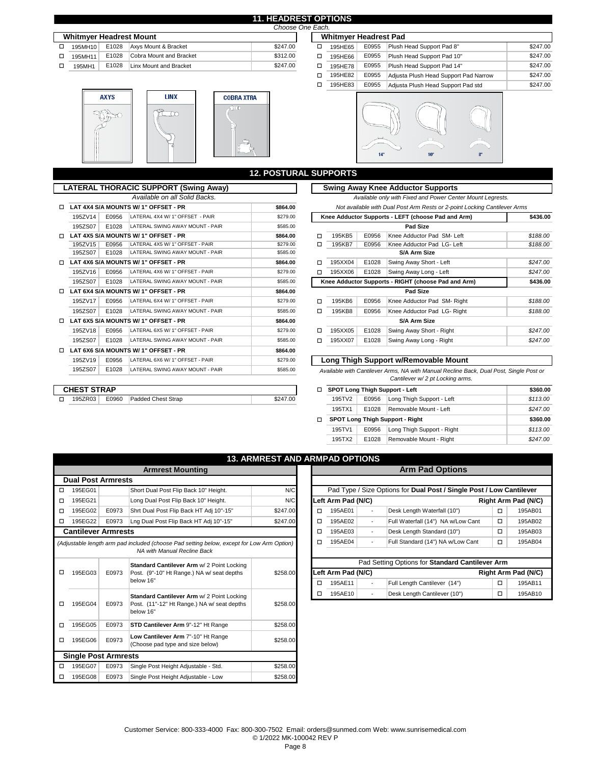#### **11. HEADREST OPTIONS Choose One**

|                                                                                                                                                      |        | E1028<br>Axvs Mount & Bracket<br>Cobra Mount and Bracket<br>E1028 |                        |          |         |       |                            |
|------------------------------------------------------------------------------------------------------------------------------------------------------|--------|-------------------------------------------------------------------|------------------------|----------|---------|-------|----------------------------|
| <b>Whitmver Headrest Mount</b><br><b>Whitmver Headrest Pad</b><br>\$247.00<br>E0955<br>195MH10<br>195HE65<br>\$312.00<br>E0955<br>195MH11<br>195HE66 |        |                                                                   |                        |          |         |       |                            |
|                                                                                                                                                      |        |                                                                   |                        |          |         |       | Plush Head Support Pad 8"  |
|                                                                                                                                                      |        |                                                                   |                        |          |         |       | Plush Head Support Pad 10" |
|                                                                                                                                                      | 195MH1 | E1028                                                             | Linx Mount and Bracket | \$247.00 | 195HE78 | E0955 | Plush Head Support Pad 14" |
|                                                                                                                                                      |        |                                                                   |                        |          | .       | ----- |                            |



| Edül. |                              |       |                                       |          |
|-------|------------------------------|-------|---------------------------------------|----------|
|       | <b>Whitmyer Headrest Pad</b> |       |                                       |          |
| □     | 195HE65                      | E0955 | Plush Head Support Pad 8"             | \$247.00 |
| □     | 195HE66                      | E0955 | Plush Head Support Pad 10"            | \$247.00 |
| □     | 195HE78                      | E0955 | Plush Head Support Pad 14"            | \$247.00 |
| п     | 195HE82                      | E0955 | Adjusta Plush Head Support Pad Narrow | \$247.00 |
| п     | 195HE83                      | E0955 | Adjusta Plush Head Support Pad std    | \$247.00 |
|       |                              |       |                                       |          |



|   |                    |       |                                              | <b>12. POSTURAL SUPPORTS</b> |                                              |         |       |                                                           |  |  |  |
|---|--------------------|-------|----------------------------------------------|------------------------------|----------------------------------------------|---------|-------|-----------------------------------------------------------|--|--|--|
|   |                    |       | <b>LATERAL THORACIC SUPPORT (Swing Away)</b> |                              |                                              |         |       | <b>Swing Away Knee Adductor Supports</b>                  |  |  |  |
|   |                    |       | Available on all Solid Backs.                |                              | Available only with Fixed and Power Center M |         |       |                                                           |  |  |  |
| □ |                    |       | LAT 4X4 S/A MOUNTS W/ 1" OFFSET - PR         | \$864.00                     |                                              |         |       | Not available with Dual Post Arm Rests or 2-point Log     |  |  |  |
|   | 195ZV14            | E0956 | LATERAL 4X4 W/ 1" OFFSET - PAIR              | \$279.00                     |                                              |         |       | Knee Adductor Supports - LEFT (choose Pad and Arm)        |  |  |  |
|   | 195ZS07            | E1028 | LATERAL SWING AWAY MOUNT - PAIR              | \$585.00                     |                                              |         |       | Pad Size                                                  |  |  |  |
| п |                    |       | LAT 4X5 S/A MOUNTS W/ 1" OFFSET - PR         | \$864.00                     | п                                            | 195KB5  | E0956 | Knee Adductor Pad SM- Left                                |  |  |  |
|   | 195ZV15            | E0956 | LATERAL 4X5 W/ 1" OFFSET - PAIR              | \$279.00                     | п                                            | 195KB7  | E0956 | Knee Adductor Pad LG- Left                                |  |  |  |
|   | 195ZS07            | E1028 | LATERAL SWING AWAY MOUNT - PAIR              | \$585.00                     |                                              |         |       | S/A Arm Size                                              |  |  |  |
| п |                    |       | LAT 4X6 S/A MOUNTS W/ 1" OFFSET - PR         | \$864.00                     | п                                            | 195XX04 | E1028 | Swing Away Short - Left                                   |  |  |  |
|   | 195ZV16            | E0956 | LATERAL 4X6 W/ 1" OFFSET - PAIR              | \$279.00                     | п                                            | 195XX06 | E1028 | Swing Away Long - Left                                    |  |  |  |
|   | 195ZS07            | E1028 | LATERAL SWING AWAY MOUNT - PAIR              | \$585.00                     |                                              |         |       | Knee Adductor Supports - RIGHT (choose Pad and Arn        |  |  |  |
| п |                    |       | LAT 6X4 S/A MOUNTS W/ 1" OFFSET - PR         | \$864.00                     |                                              |         |       | Pad Size                                                  |  |  |  |
|   | 195ZV17            | E0956 | LATERAL 6X4 W/ 1" OFFSET - PAIR              | \$279.00                     | о                                            | 195KB6  | E0956 | Knee Adductor Pad SM-Right                                |  |  |  |
|   | 195ZS07            | E1028 | LATERAL SWING AWAY MOUNT - PAIR              | \$585.00                     | п                                            | 195KB8  | E0956 | Knee Adductor Pad LG- Right                               |  |  |  |
| п |                    |       | LAT 6X5 S/A MOUNTS W/ 1" OFFSET - PR         | \$864.00                     |                                              |         |       | S/A Arm Size                                              |  |  |  |
|   | 195ZV18            | E0956 | LATERAL 6X5 W/ 1" OFFSET - PAIR              | \$279.00                     | п                                            | 195XX05 | E1028 | Swing Away Short - Right                                  |  |  |  |
|   | 195ZS07            | E1028 | LATERAL SWING AWAY MOUNT - PAIR              | \$585.00                     | □                                            | 195XX07 | E1028 | Swing Away Long - Right                                   |  |  |  |
| п |                    |       | LAT 6X6 S/A MOUNTS W/ 1" OFFSET - PR         | \$864.00                     |                                              |         |       |                                                           |  |  |  |
|   | 195ZV19            | E0956 | LATERAL 6X6 W/ 1" OFFSET - PAIR              | \$279.00                     |                                              |         |       | Long Thigh Support w/Removable Mount                      |  |  |  |
|   | 195ZS07            | E1028 | LATERAL SWING AWAY MOUNT - PAIR              | \$585.00                     |                                              |         |       | Available with Cantilever Arms, NA with Manual Recline Ba |  |  |  |
|   |                    |       |                                              |                              |                                              |         |       | Cantilever w/2 pt Locking arms.                           |  |  |  |
|   | <b>CHEST STRAP</b> |       |                                              |                              | □                                            |         |       | SPOT Long Thigh Support - Left                            |  |  |  |
| п | 195ZR03            | E0960 | Padded Chest Strap                           | \$247.00                     |                                              | 195TV2  | E0956 | Long Thigh Support - Left                                 |  |  |  |
|   |                    |       |                                              |                              |                                              |         |       |                                                           |  |  |  |

|         |       | TERAL THORACIC SUPPORT (Swing Away) |          |                                                     |         |       | <b>Swing Away Knee Adductor Supports</b>                                  |          |
|---------|-------|-------------------------------------|----------|-----------------------------------------------------|---------|-------|---------------------------------------------------------------------------|----------|
|         |       | Available on all Solid Backs.       |          |                                                     |         |       | Available only with Fixed and Power Center Mount Legrests.                |          |
|         |       | AT 4X4 S/A MOUNTS W/ 1" OFFSET - PR | \$864.00 |                                                     |         |       | Not available with Dual Post Arm Rests or 2-point Locking Cantilever Arms |          |
| 195ZV14 | E0956 | LATERAL 4X4 W/ 1" OFFSET - PAIR     | \$279.00 |                                                     |         |       | Knee Adductor Supports - LEFT (choose Pad and Arm)                        | \$436.00 |
| 195ZS07 | E1028 | LATERAL SWING AWAY MOUNT - PAIR     | \$585.00 |                                                     |         |       | Pad Size                                                                  |          |
|         |       | AT 4X5 S/A MOUNTS W/ 1" OFFSET - PR | \$864.00 | □                                                   | 195KB5  | E0956 | Knee Adductor Pad SM- Left                                                | \$188.00 |
| 195ZV15 | E0956 | LATERAL 4X5 W/ 1" OFFSET - PAIR     | \$279.00 | □                                                   | 195KB7  | E0956 | Knee Adductor Pad LG- Left                                                | \$188.00 |
| 195ZS07 | E1028 | LATERAL SWING AWAY MOUNT - PAIR     | \$585.00 |                                                     |         |       | S/A Arm Size                                                              |          |
|         |       | AT 4X6 S/A MOUNTS W/ 1" OFFSET - PR | \$864.00 | □                                                   | 195XX04 | E1028 | Swing Away Short - Left                                                   | \$247.00 |
| 195ZV16 | E0956 | LATERAL 4X6 W/ 1" OFFSET - PAIR     | \$279.00 | □                                                   | 195XX06 | E1028 | Swing Away Long - Left                                                    | \$247.00 |
| 195ZS07 | E1028 | LATERAL SWING AWAY MOUNT - PAIR     | \$585.00 | Knee Adductor Supports - RIGHT (choose Pad and Arm) |         |       |                                                                           | \$436.00 |
|         |       | AT 6X4 S/A MOUNTS W/ 1" OFFSET - PR | \$864.00 |                                                     |         |       | Pad Size                                                                  |          |
| 195ZV17 | E0956 | LATERAL 6X4 W/ 1" OFFSET - PAIR     | \$279.00 | □                                                   | 195KB6  | E0956 | Knee Adductor Pad SM-Right                                                | \$188.00 |
| 195ZS07 | E1028 | LATERAL SWING AWAY MOUNT - PAIR     | \$585.00 | □                                                   | 195KB8  | E0956 | Knee Adductor Pad LG-Right                                                | \$188.00 |
|         |       | AT 6X5 S/A MOUNTS W/ 1" OFFSET - PR | \$864.00 |                                                     |         |       | S/A Arm Size                                                              |          |
| 195ZV18 | E0956 | LATERAL 6X5 W/ 1" OFFSET - PAIR     | \$279.00 | □                                                   | 195XX05 | E1028 | Swing Away Short - Right                                                  | \$247.00 |
| 195ZS07 | E1028 | LATERAL SWING AWAY MOUNT - PAIR     | \$585.00 | □                                                   | 195XX07 | E1028 | Swing Away Long - Right                                                   | \$247.00 |
|         |       | AT CVC CIA MOUNTS WILL OFFEET DD.   | 0.00100  |                                                     |         |       |                                                                           |          |

## **Long Thigh Support w/Removable Mount**

 *Available with Cantilever Arms, NA with Manual Recline Back, Dual Post, Single Post or Cantilever w/ 2 pt Locking arms.* 

| п |        |                                 |                                        |          |  |  |  |
|---|--------|---------------------------------|----------------------------------------|----------|--|--|--|
|   |        |                                 | SPOT Long Thigh Support - Left         | \$360.00 |  |  |  |
|   | 195TV2 | E0956                           | Long Thigh Support - Left              | \$113.00 |  |  |  |
|   | 195TX1 | E1028<br>Removable Mount - Left |                                        |          |  |  |  |
|   |        |                                 | <b>SPOT Long Thigh Support - Right</b> | \$360.00 |  |  |  |
|   | 195TV1 | E0956                           | Long Thigh Support - Right             | \$113.00 |  |  |  |
|   | 195TX2 | E1028                           | Removable Mount - Right                | \$247.00 |  |  |  |

|                        |                             |       |                                                                                           | <b>13. ARMREST AND ARMPAD OPTIONS</b> |                                                 |                    |                          |                                                                      |                               |                     |  |  |
|------------------------|-----------------------------|-------|-------------------------------------------------------------------------------------------|---------------------------------------|-------------------------------------------------|--------------------|--------------------------|----------------------------------------------------------------------|-------------------------------|---------------------|--|--|
|                        |                             |       | <b>Armrest Mounting</b>                                                                   |                                       |                                                 |                    |                          | <b>Arm Pad Options</b>                                               |                               |                     |  |  |
|                        | <b>Dual Post Armrests</b>   |       |                                                                                           |                                       |                                                 |                    |                          |                                                                      |                               |                     |  |  |
| □                      | 195EG01                     |       | Short Dual Post Flip Back 10" Height.                                                     | N/C                                   |                                                 |                    |                          | Pad Type / Size Options for Dual Post / Single Post / Low Cantilever |                               |                     |  |  |
| □                      | 195EG21                     |       | Long Dual Post Flip Back 10" Height.                                                      | N/C                                   |                                                 | Left Arm Pad (N/C) |                          |                                                                      |                               | Right Arm Pad (N/C) |  |  |
| □                      | 195EG02                     | E0973 | Shrt Dual Post Flip Back HT Adi 10"-15"                                                   | \$247.00                              | $\Box$                                          | 195AE01            | $\blacksquare$           | Desk Length Waterfall (10")                                          | $\Box$                        | 195AB01             |  |  |
| □                      | 195EG22                     | E0973 | Lng Dual Post Flip Back HT Adj 10"-15"                                                    | \$247.00                              | □                                               | 195AE02            | $\sim$                   | Full Waterfall (14") NA w/Low Cant                                   | $\Box$                        | 195AB02             |  |  |
|                        | <b>Cantilever Armrests</b>  |       |                                                                                           |                                       | о                                               | 195AE03            | $\sim$                   | Desk Length Standard (10")                                           | $\Box$                        | 195AB03             |  |  |
|                        |                             |       | (Adjustable length arm pad included (choose Pad setting below, except for Low Arm Option) |                                       | □                                               | 195AE04            | $\overline{\phantom{a}}$ | Full Standard (14") NA w/Low Cant                                    | $\Box$                        | 195AB04             |  |  |
|                        |                             |       | NA with Manual Recline Back                                                               |                                       |                                                 |                    |                          |                                                                      |                               |                     |  |  |
|                        | 195EG03                     |       | Standard Cantilever Arm w/ 2 Point Locking                                                |                                       | Pad Setting Options for Standard Cantilever Arm |                    |                          |                                                                      |                               |                     |  |  |
| □                      |                             | E0973 | Post. (9"-10" Ht Range.) NA w/ seat depths                                                | \$258.00                              |                                                 | Left Arm Pad (N/C) |                          |                                                                      |                               |                     |  |  |
|                        |                             |       | below 16"                                                                                 |                                       | п                                               | 195AE11            | $\blacksquare$           | Full Length Cantilever (14")                                         | $\Box$                        | 195AB11<br>195AB10  |  |  |
|                        |                             |       | Standard Cantilever Arm w/ 2 Point Locking                                                |                                       | п                                               | 195AE10            | $\overline{\phantom{a}}$ | Desk Length Cantilever (10")                                         | Right Arm Pad (N/C)<br>$\Box$ |                     |  |  |
| □<br>□<br>195EG06<br>□ | 195EG04                     | E0973 | Post. (11"-12" Ht Range.) NA w/ seat depths<br>below 16"                                  | \$258.00                              |                                                 |                    |                          |                                                                      |                               |                     |  |  |
|                        |                             |       |                                                                                           |                                       |                                                 |                    |                          |                                                                      |                               |                     |  |  |
|                        | 195EG05                     | E0973 | STD Cantilever Arm 9"-12" Ht Range                                                        | \$258.00                              |                                                 |                    |                          |                                                                      |                               |                     |  |  |
|                        |                             |       | Low Cantilever Arm 7"-10" Ht Range                                                        |                                       |                                                 |                    |                          |                                                                      |                               |                     |  |  |
|                        |                             | E0973 | (Choose pad type and size below)                                                          | \$258.00                              |                                                 |                    |                          |                                                                      |                               |                     |  |  |
|                        | <b>Single Post Armrests</b> |       |                                                                                           |                                       |                                                 |                    |                          |                                                                      |                               |                     |  |  |
| □                      | 195EG07                     | E0973 | Single Post Height Adjustable - Std.                                                      | \$258.00                              |                                                 |                    |                          |                                                                      |                               |                     |  |  |
| □                      | 195EG08                     | E0973 | Single Post Height Adjustable - Low                                                       | \$258.00                              |                                                 |                    |                          |                                                                      |                               |                     |  |  |
|                        |                             |       |                                                                                           |                                       |                                                 |                    |                          |                                                                      |                               |                     |  |  |

|                                                                                                                                                                                                                                 |                                                                                      |                                            | <b>13. ARMREST AND ARMPAD OPTIONS</b> |   |                     |                          |                                                                      |        |                     |
|---------------------------------------------------------------------------------------------------------------------------------------------------------------------------------------------------------------------------------|--------------------------------------------------------------------------------------|--------------------------------------------|---------------------------------------|---|---------------------|--------------------------|----------------------------------------------------------------------|--------|---------------------|
|                                                                                                                                                                                                                                 |                                                                                      | <b>Armrest Mounting</b>                    |                                       |   |                     |                          | <b>Arm Pad Options</b>                                               |        |                     |
| al Post Armrests                                                                                                                                                                                                                |                                                                                      |                                            |                                       |   |                     |                          |                                                                      |        |                     |
| 195EG01                                                                                                                                                                                                                         |                                                                                      | Short Dual Post Flip Back 10" Height.      | N/C                                   |   |                     |                          | Pad Type / Size Options for Dual Post / Single Post / Low Cantilever |        |                     |
| Left Arm Pad (N/C)<br>Long Dual Post Flip Back 10" Height.<br>N/C<br>195EG21<br>Shrt Dual Post Flip Back HT Adj 10"-15"<br>\$247.00<br>195EG02<br>E0973<br>195AE01<br>□<br>$\overline{\phantom{a}}$<br>$\overline{\phantom{a}}$ |                                                                                      |                                            |                                       |   | Right Arm Pad (N/C) |                          |                                                                      |        |                     |
|                                                                                                                                                                                                                                 |                                                                                      |                                            |                                       |   |                     |                          | Desk Length Waterfall (10")                                          | □      | 195AB01             |
| 195EG22                                                                                                                                                                                                                         | E0973                                                                                | Lng Dual Post Flip Back HT Adj 10"-15"     | \$247.00                              | □ | 195AE02             |                          | Full Waterfall (14") NA w/Low Cant                                   | □      | 195AB02             |
|                                                                                                                                                                                                                                 | ntilever Armrests                                                                    |                                            |                                       | о | 195AE03             | $\overline{\phantom{a}}$ | Desk Length Standard (10")                                           | $\Box$ | 195AB03             |
|                                                                                                                                                                                                                                 | stable length arm pad included (choose Pad setting below, except for Low Arm Option) |                                            |                                       | о | 195AE04             | $\overline{\phantom{a}}$ | Full Standard (14") NA w/Low Cant                                    | □      | 195AB04             |
|                                                                                                                                                                                                                                 |                                                                                      | NA with Manual Recline Back                |                                       |   |                     |                          |                                                                      |        |                     |
|                                                                                                                                                                                                                                 |                                                                                      | Standard Cantilever Arm w/ 2 Point Locking |                                       |   |                     |                          | Pad Setting Options for Standard Cantilever Arm                      |        |                     |
| 195EG03<br>E0973                                                                                                                                                                                                                |                                                                                      | Post. (9"-10" Ht Range.) NA w/ seat depths | \$258.00                              |   | Left Arm Pad (N/C)  |                          |                                                                      |        | Right Arm Pad (N/C) |
|                                                                                                                                                                                                                                 |                                                                                      | below 16"                                  |                                       | о | 195AE11             | $\overline{\phantom{a}}$ | Full Length Cantilever (14")                                         | □      | 195AB11             |
|                                                                                                                                                                                                                                 |                                                                                      | Standard Cantilever Arm w/ 2 Point Locking |                                       | □ | 195AE10             |                          | Desk Length Cantilever (10")                                         | о      | 195AB10             |
| 1000000001                                                                                                                                                                                                                      | $\mathbf{A} \mathbf{A} \mathbf{B} \mathbf{A} \mathbf{A} \mathbf{A}$<br>$F^{\wedge}$  |                                            |                                       |   |                     |                          |                                                                      |        |                     |

#### Customer Service: 800-333-4000 Fax: 800-300-7502 Email: orders@sunmed.com Web: www.sunrisemedical.com © 1/2022 MK-100042 REV Q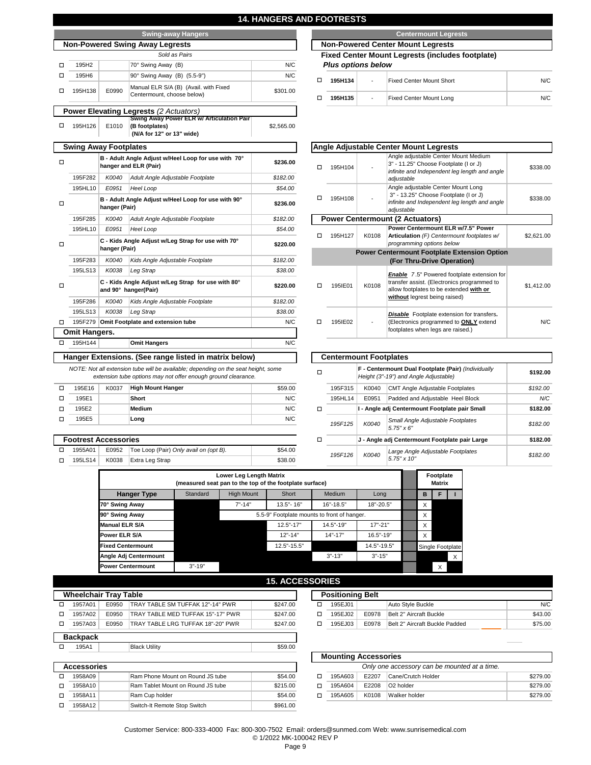| 14. HANGERS AND FO |                                                                                                                                                     |                |                             |             |  |
|--------------------|-----------------------------------------------------------------------------------------------------------------------------------------------------|----------------|-----------------------------|-------------|--|
|                    | <b>Swing-away Hangers</b>                                                                                                                           |                |                             |             |  |
|                    | <b>Non-Powered Swing Away Legrests</b>                                                                                                              |                |                             |             |  |
|                    | Sold as Pairs                                                                                                                                       |                |                             |             |  |
| N/C                | 70° Swing Away (B)                                                                                                                                  |                | 195H2                       | □           |  |
| N/C                | 90° Swing Away (B) (5.5-9")                                                                                                                         |                | 195H6                       | $\Box$      |  |
| \$301.00           | Manual ELR S/A (B) (Avail. with Fixed<br>Centermount, choose below)                                                                                 | E0990          | 195H138                     | □           |  |
|                    | <b>Power Elevating Legrests (2 Actuators)</b>                                                                                                       |                |                             |             |  |
| \$2,565.00         | Swing Away Power ELR w/ Articulation Pair<br>(B footplates)<br>(N/A for 12" or 13" wide)                                                            | E1010          | 195H126                     | $\Box$      |  |
|                    | <b>Swing Away Footplates</b>                                                                                                                        |                |                             |             |  |
| \$236.00           | B - Adult Angle Adjust w/Heel Loop for use with 70°<br>hanger and ELR (Pair)                                                                        |                |                             |             |  |
| \$182.00           | Adult Angle Adjustable Footplate                                                                                                                    | K0040          | 195F282                     |             |  |
| \$54.00            | Heel Loop                                                                                                                                           | E0951          | 195HL10                     |             |  |
| \$236.00           | B - Adult Angle Adjust w/Heel Loop for use with 90°                                                                                                 | hanger (Pair)  |                             | □           |  |
| \$182.00           | Adult Angle Adjustable Footplate                                                                                                                    | K0040          | 195F285                     |             |  |
| \$54.00            | Heel Loop                                                                                                                                           | E0951          | 195HL10                     |             |  |
| \$220.00           | C - Kids Angle Adjust w/Leg Strap for use with 70°                                                                                                  | hanger (Pair)  |                             | $\Box$      |  |
| \$182.00           | Kids Angle Adjustable Footplate                                                                                                                     | K0040          | 195F283                     |             |  |
| \$38.00            | Leg Strap                                                                                                                                           | K0038          | 195LS13                     |             |  |
| \$220.00           |                                                                                                                                                     | □              |                             |             |  |
| \$182.00           | Kids Angle Adjustable Footplate                                                                                                                     | K0040          | 195F286                     |             |  |
| \$38.00            | Leg Strap                                                                                                                                           | K0038          | 195LS13                     |             |  |
| N/C                | 195F279 Omit Footplate and extension tube                                                                                                           |                |                             | $\Box$      |  |
|                    |                                                                                                                                                     |                | <b>Omit Hangers.</b>        |             |  |
| N/C                | <b>Omit Hangers</b>                                                                                                                                 |                | 195H144                     | $\Box$      |  |
|                    | Hanger Extensions. (See range listed in matrix below)                                                                                               |                |                             |             |  |
|                    | NOTE: Not all extension tube will be available; depending on the seat height, some<br>extension tube options may not offer enough ground clearance. |                |                             |             |  |
| \$59.00            | <b>High Mount Hanger</b>                                                                                                                            | K0037          | 195E16                      | □           |  |
| N/C                | Short                                                                                                                                               |                | 195E1                       | $\Box$      |  |
| N/C                | <b>Medium</b>                                                                                                                                       |                | 195E2                       | $\Box$      |  |
| N/C                | Long                                                                                                                                                |                | 195E5                       | □           |  |
|                    |                                                                                                                                                     |                |                             |             |  |
|                    |                                                                                                                                                     |                | <b>Footrest Accessories</b> |             |  |
| \$54.00            | Toe Loop (Pair) Only avail on (opt B).                                                                                                              | E0952<br>K0038 | 1955A01<br>195LS14          | □<br>$\Box$ |  |
| \$38.00            | Extra Leg Strap                                                                                                                                     |                |                             |             |  |

## **0TRESTS**

## **Swing-away Hangers Centermount Legrests**

**Non-Powered Center Mount Legrests ixed Center Mount Legrests (includes footplate)** 

 *Plus options below*

| 19511134 | $\overline{\phantom{a}}$ | <b>Fixed Center Mount Short</b> | N/C |
|----------|--------------------------|---------------------------------|-----|
| 195H135  | $\overline{\phantom{a}}$ | <b>Fixed Center Mount Long</b>  | N/C |

|                                                                                   |         |       | Angle Adjustable Center Mount Legrests                                                                                                                                        |            |
|-----------------------------------------------------------------------------------|---------|-------|-------------------------------------------------------------------------------------------------------------------------------------------------------------------------------|------------|
| п<br>п<br>п<br>п                                                                  | 195H104 |       | Angle adjustable Center Mount Medium<br>3" - 11.25" Choose Footplate (I or J)<br>infinite and Independent leg length and angle<br>adjustable                                  | \$338.00   |
|                                                                                   | 195H108 |       | Angle adjustable Center Mount Long<br>3" - 13.25" Choose Footplate (I or J)<br>infinite and Independent leg length and angle<br>adjustable                                    | \$338.00   |
|                                                                                   |         |       | <b>Power Centermount (2 Actuators)</b>                                                                                                                                        |            |
|                                                                                   | 195H127 | K0108 | Power Centermount ELR w/7.5" Power<br>Articulation (F) Centermount footplates w/<br>programming options below                                                                 | \$2.621.00 |
|                                                                                   |         |       |                                                                                                                                                                               |            |
| <b>Power Centermount Footplate Extension Option</b><br>(For Thru-Drive Operation) |         |       |                                                                                                                                                                               |            |
|                                                                                   | 195IE01 | K0108 | <b>Enable</b> 7.5" Powered footplate extension for<br>transfer assist. (Electronics programmed to<br>allow footplates to be extended with or<br>without legrest being raised) | \$1,412.00 |
| п                                                                                 | 1951E02 |       | <b>Disable</b> Footplate extension for transfers.<br>(Electronics programmed to <b>ONLY</b> extend<br>footplates when legs are raised.)                                       | N/C        |

| <b>Centermount Footplates</b> |                                                |                                                                                              |          |
|-------------------------------|------------------------------------------------|----------------------------------------------------------------------------------------------|----------|
|                               |                                                | F - Centermount Dual Footplate (Pair) (Individually<br>Height (3"-19") and Angle Adjustable) | \$192.00 |
| 195F315                       | K0040                                          | <b>CMT Angle Adjustable Footplates</b>                                                       | \$192.00 |
| 195HL14                       | E0951                                          | Padded and Adjustable Heel Block                                                             | N/C      |
|                               | I - Angle adj Centermount Footplate pair Small | \$182.00                                                                                     |          |
| 195F125                       | K0040                                          | Small Angle Adjustable Footplates<br>$5.75'' \times 6''$                                     | \$182.00 |
|                               |                                                | J - Angle adj Centermount Footplate pair Large                                               | \$182.00 |
| 195F126                       | K0040                                          | Large Angle Adjustable Footplates<br>$.575'' \times 10''$                                    | \$182.00 |

|                          | Lower Leg Length Matrix<br>(measured seat pan to the top of the footplate surface)<br><b>High Mount</b><br>Short<br>Medium<br>Standard<br>Long |            |                                             |               |             |  |                  |   |  |  |
|--------------------------|------------------------------------------------------------------------------------------------------------------------------------------------|------------|---------------------------------------------|---------------|-------------|--|------------------|---|--|--|
| <b>Hanger Type</b>       |                                                                                                                                                |            |                                             |               |             |  | в                | F |  |  |
| 70° Swing Away           |                                                                                                                                                | $7" - 14"$ | $13.5" - 16"$                               | $16" - 18.5"$ | 18"-20.5"   |  | X                |   |  |  |
| 90° Swing Away           |                                                                                                                                                |            | 5.5-9" Footplate mounts to front of hanger. |               |             |  | X                |   |  |  |
| <b>Manual ELR S/A</b>    |                                                                                                                                                |            | $12.5" - 17"$                               | $14.5" - 19"$ | $17" - 21"$ |  | X                |   |  |  |
| Power ELR S/A            |                                                                                                                                                |            | $12" - 14"$                                 | $14" - 17"$   | 16.5"-19"   |  | X                |   |  |  |
| <b>Fixed Centermount</b> |                                                                                                                                                |            | 12.5"-15.5"                                 |               | 14.5"-19.5" |  | Single Footplate |   |  |  |
| Angle Adj Centermount    |                                                                                                                                                |            |                                             | $3" - 13"$    | $3" - 15"$  |  |                  |   |  |  |
| <b>Power Centermount</b> | $3" - 19"$                                                                                                                                     |            |                                             |               |             |  |                  | X |  |  |

| <b>15. ACCESSORIES</b> |  |  |
|------------------------|--|--|
|                        |  |  |

| <b>Wheelchair Tray Table</b> |       |                                   |          | <b>Positioning Belt</b> |  |         |      |
|------------------------------|-------|-----------------------------------|----------|-------------------------|--|---------|------|
| 1957A01                      | E0950 | TRAY TABLE SM TUFFAK 12"-14" PWR  | \$247.00 |                         |  | 195EJ01 |      |
| 1957A02                      | E0950 | TRAY TABLE MED TUFFAK 15"-17" PWR | \$247.00 |                         |  | 195EJ02 | E097 |
| 1957A03                      | E0950 | TRAY TABLE LRG TUFFAK 18"-20" PWR | \$247.00 |                         |  | 195EJ03 | E097 |
| <b>Backpack</b>              |       |                                   |          |                         |  |         |      |

| 95A' | 1.111.1<br>Jtılıtv<br><b>BIACK</b> |  |
|------|------------------------------------|--|
|      |                                    |  |

| <b>Accessories</b> |                                   |          |   |         | Only one accessory can be mounted at a time. |                       |
|--------------------|-----------------------------------|----------|---|---------|----------------------------------------------|-----------------------|
| 1958A09            | Ram Phone Mount on Round JS tube  | \$54.00  | □ | 195A603 | E2207                                        | Cane/Crutch Holder    |
| 1958A10            | Ram Tablet Mount on Round JS tube | \$215.00 | □ | 195A604 | E2208                                        | O <sub>2</sub> holder |
| 1958A11            | Ram Cup holder                    | \$54.00  |   | 195A605 | K0108                                        | Walker holder         |
| 1958A12            | Switch-It Remote Stop Switch      | \$961.00 |   |         |                                              |                       |

| <b>Positioning Belt</b> |         |       |                                |         |
|-------------------------|---------|-------|--------------------------------|---------|
|                         | 195EJ01 |       | Auto Style Buckle              | N/C     |
|                         | 195EJ02 | E0978 | Belt 2" Aircraft Buckle        | \$43.00 |
|                         | 195EJ03 | F0978 | Belt 2" Aircraft Buckle Padded | \$75.00 |

|           |                                   |          |   | <b>Mounting Accessories</b> |       |                                              |          |
|-----------|-----------------------------------|----------|---|-----------------------------|-------|----------------------------------------------|----------|
| cessories |                                   |          |   |                             |       | Only one accessory can be mounted at a time. |          |
| 1958A09   | Ram Phone Mount on Round JS tube  | \$54.00  | □ | 195A603                     | E2207 | Cane/Crutch Holder                           | \$279.00 |
| 1958A10   | Ram Tablet Mount on Round JS tube | \$215.00 |   | 195A604                     | E2208 | <b>O2</b> holder                             | \$279.00 |
| 1958A11   | Ram Cup holder                    | \$54.00  |   | 195A605                     | K0108 | Walker holder                                | \$279.00 |
|           |                                   |          |   |                             |       |                                              |          |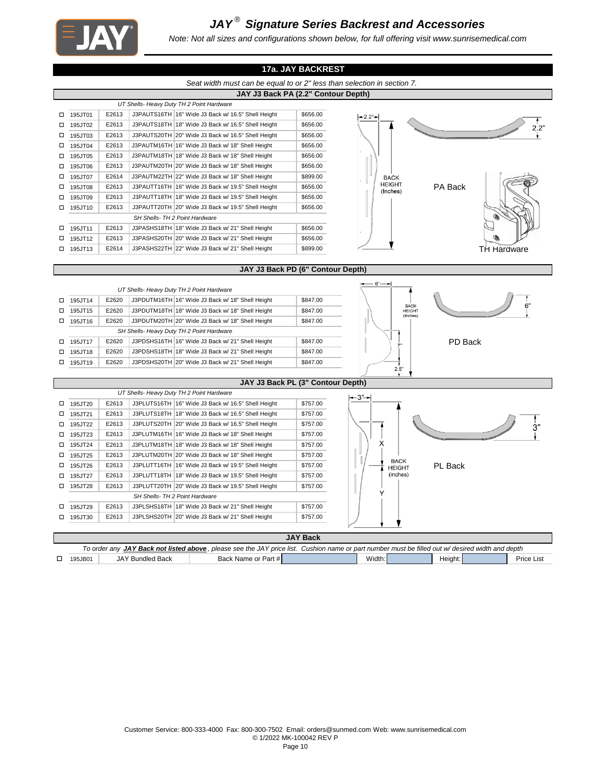

# *JAY ® Signature Series Backrest and Accessories*

*Note: Not all sizes and configurations shown below, for full offering visit www.sunrisemedical.com*